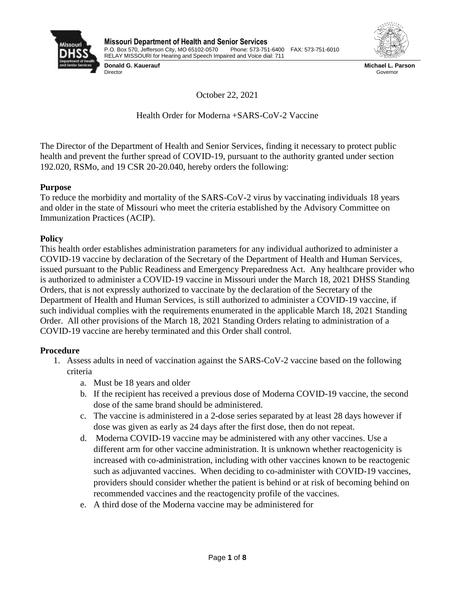

**Donald G. Kauerauf**  Director



**Michael L. Parson** Governor

October 22, 2021

Health Order for Moderna +SARS-CoV-2 Vaccine

The Director of the Department of Health and Senior Services, finding it necessary to protect public health and prevent the further spread of COVID-19, pursuant to the authority granted under section 192.020, RSMo, and 19 CSR 20-20.040, hereby orders the following:

## **Purpose**

To reduce the morbidity and mortality of the SARS-CoV-2 virus by vaccinating individuals 18 years and older in the state of Missouri who meet the criteria established by the Advisory Committee on Immunization Practices (ACIP).

## **Policy**

This health order establishes administration parameters for any individual authorized to administer a COVID-19 vaccine by declaration of the Secretary of the Department of Health and Human Services, issued pursuant to the Public Readiness and Emergency Preparedness Act. Any healthcare provider who is authorized to administer a COVID-19 vaccine in Missouri under the March 18, 2021 DHSS Standing Orders, that is not expressly authorized to vaccinate by the declaration of the Secretary of the Department of Health and Human Services, is still authorized to administer a COVID-19 vaccine, if such individual complies with the requirements enumerated in the applicable March 18, 2021 Standing Order. All other provisions of the March 18, 2021 Standing Orders relating to administration of a COVID-19 vaccine are hereby terminated and this Order shall control.

# **Procedure**

- 1. Assess adults in need of vaccination against the SARS-CoV-2 vaccine based on the following criteria
	- a. Must be 18 years and older
	- b. If the recipient has received a previous dose of Moderna COVID-19 vaccine, the second dose of the same brand should be administered.
	- c. The vaccine is administered in a 2-dose series separated by at least 28 days however if dose was given as early as 24 days after the first dose, then do not repeat.
	- d. Moderna COVID-19 vaccine may be administered with any other vaccines. Use a different arm for other vaccine administration. It is unknown whether reactogenicity is increased with co-administration, including with other vaccines known to be reactogenic such as adjuvanted vaccines. When deciding to co-administer with COVID-19 vaccines, providers should consider whether the patient is behind or at risk of becoming behind on recommended vaccines and the reactogencity profile of the vaccines.
	- e. A third dose of the Moderna vaccine may be administered for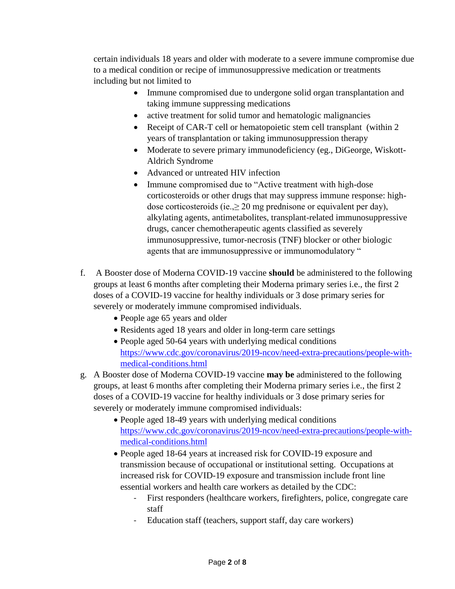certain individuals 18 years and older with moderate to a severe immune compromise due to a medical condition or recipe of immunosuppressive medication or treatments including but not limited to

- Immune compromised due to undergone solid organ transplantation and taking immune suppressing medications
- active treatment for solid tumor and hematologic malignancies
- Receipt of CAR-T cell or hematopoietic stem cell transplant (within 2) years of transplantation or taking immunosuppression therapy
- Moderate to severe primary immunodeficiency (eg., DiGeorge, Wiskott-Aldrich Syndrome
- Advanced or untreated HIV infection
- Immune compromised due to "Active treatment with high-dose" corticosteroids or other drugs that may suppress immune response: highdose corticosteroids (ie., $\geq 20$  mg prednisone or equivalent per day), alkylating agents, antimetabolites, transplant-related immunosuppressive drugs, cancer chemotherapeutic agents classified as severely immunosuppressive, tumor-necrosis (TNF) blocker or other biologic agents that are immunosuppressive or immunomodulatory "
- f. A Booster dose of Moderna COVID-19 vaccine **should** be administered to the following groups at least 6 months after completing their Moderna primary series i.e., the first 2 doses of a COVID-19 vaccine for healthy individuals or 3 dose primary series for severely or moderately immune compromised individuals.
	- People age 65 years and older
	- Residents aged 18 years and older in long-term care settings
	- People aged 50-64 years with underlying medical conditions [https://www.cdc.gov/coronavirus/2019-ncov/need-extra-precautions/people-with](https://www.cdc.gov/coronavirus/2019-ncov/need-extra-precautions/people-with-medical-conditions.html)[medical-conditions.html](https://www.cdc.gov/coronavirus/2019-ncov/need-extra-precautions/people-with-medical-conditions.html)
- g. A Booster dose of Moderna COVID-19 vaccine **may be** administered to the following groups, at least 6 months after completing their Moderna primary series i.e., the first 2 doses of a COVID-19 vaccine for healthy individuals or 3 dose primary series for severely or moderately immune compromised individuals:
	- People aged 18-49 years with underlying medical conditions [https://www.cdc.gov/coronavirus/2019-ncov/need-extra-precautions/people-with](https://www.cdc.gov/coronavirus/2019-ncov/need-extra-precautions/people-with-medical-conditions.html)[medical-conditions.html](https://www.cdc.gov/coronavirus/2019-ncov/need-extra-precautions/people-with-medical-conditions.html)
	- People aged 18-64 years at increased risk for COVID-19 exposure and transmission because of occupational or institutional setting. Occupations at increased risk for COVID-19 exposure and transmission include front line essential workers and health care workers as detailed by the CDC:
		- First responders (healthcare workers, firefighters, police, congregate care staff
		- Education staff (teachers, support staff, day care workers)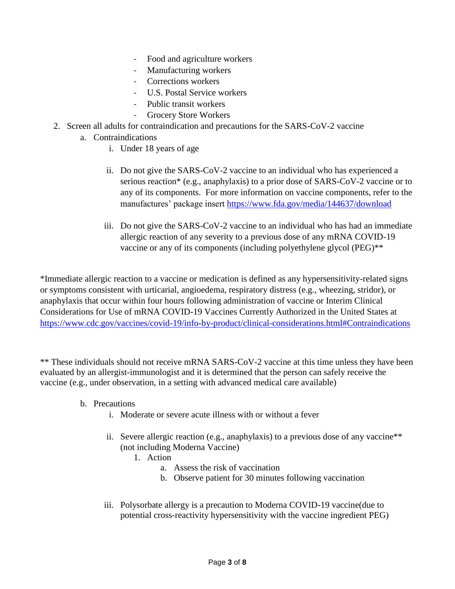- Food and agriculture workers
- Manufacturing workers
- Corrections workers
- U.S. Postal Service workers
- Public transit workers
- Grocery Store Workers
- 2. Screen all adults for contraindication and precautions for the SARS-CoV-2 vaccine
	- a. Contraindications
		- i. Under 18 years of age
		- ii. Do not give the SARS-CoV-2 vaccine to an individual who has experienced a serious reaction\* (e.g., anaphylaxis) to a prior dose of SARS-CoV-2 vaccine or to any of its components. For more information on vaccine components, refer to the manufactures' package insert<https://www.fda.gov/media/144637/download>
		- iii. Do not give the SARS-CoV-2 vaccine to an individual who has had an immediate allergic reaction of any severity to a previous dose of any mRNA COVID-19 vaccine or any of its components (including polyethylene glycol (PEG)\*\*

\*Immediate allergic reaction to a vaccine or medication is defined as any hypersensitivity-related signs or symptoms consistent with urticarial, angioedema, respiratory distress (e.g., wheezing, stridor), or anaphylaxis that occur within four hours following administration of vaccine or Interim Clinical Considerations for Use of mRNA COVID-19 Vaccines Currently Authorized in the United States at <https://www.cdc.gov/vaccines/covid-19/info-by-product/clinical-considerations.html#Contraindications>

\*\* These individuals should not receive mRNA SARS-CoV-2 vaccine at this time unless they have been evaluated by an allergist-immunologist and it is determined that the person can safely receive the vaccine (e.g., under observation, in a setting with advanced medical care available)

- b. Precautions
	- i. Moderate or severe acute illness with or without a fever
	- ii. Severe allergic reaction (e.g., anaphylaxis) to a previous dose of any vaccine\*\* (not including Moderna Vaccine)
		- 1. Action
			- a. Assess the risk of vaccination
			- b. Observe patient for 30 minutes following vaccination
	- iii. Polysorbate allergy is a precaution to Moderna COVID-19 vaccine(due to potential cross-reactivity hypersensitivity with the vaccine ingredient PEG)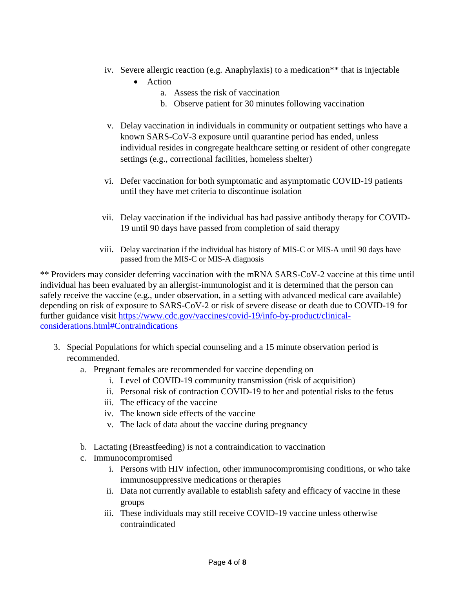- iv. Severe allergic reaction (e.g. Anaphylaxis) to a medication\*\* that is injectable
	- Action
		- a. Assess the risk of vaccination
		- b. Observe patient for 30 minutes following vaccination
- v. Delay vaccination in individuals in community or outpatient settings who have a known SARS-CoV-3 exposure until quarantine period has ended, unless individual resides in congregate healthcare setting or resident of other congregate settings (e.g., correctional facilities, homeless shelter)
- vi. Defer vaccination for both symptomatic and asymptomatic COVID-19 patients until they have met criteria to discontinue isolation
- vii. Delay vaccination if the individual has had passive antibody therapy for COVID-19 until 90 days have passed from completion of said therapy
- viii. Delay vaccination if the individual has history of MIS-C or MIS-A until 90 days have passed from the MIS-C or MIS-A diagnosis

\*\* Providers may consider deferring vaccination with the mRNA SARS-CoV-2 vaccine at this time until individual has been evaluated by an allergist-immunologist and it is determined that the person can safely receive the vaccine (e.g., under observation, in a setting with advanced medical care available) depending on risk of exposure to SARS-CoV-2 or risk of severe disease or death due to COVID-19 for further guidance visit [https://www.cdc.gov/vaccines/covid-19/info-by-product/clinical](https://www.cdc.gov/vaccines/covid-19/info-by-product/clinical-considerations.html#Contraindications)[considerations.html#Contraindications](https://www.cdc.gov/vaccines/covid-19/info-by-product/clinical-considerations.html#Contraindications)

- 3. Special Populations for which special counseling and a 15 minute observation period is recommended.
	- a. Pregnant females are recommended for vaccine depending on
		- i. Level of COVID-19 community transmission (risk of acquisition)
		- ii. Personal risk of contraction COVID-19 to her and potential risks to the fetus
		- iii. The efficacy of the vaccine
		- iv. The known side effects of the vaccine
		- v. The lack of data about the vaccine during pregnancy
	- b. Lactating (Breastfeeding) is not a contraindication to vaccination
	- c. Immunocompromised
		- i. Persons with HIV infection, other immunocompromising conditions, or who take immunosuppressive medications or therapies
		- ii. Data not currently available to establish safety and efficacy of vaccine in these groups
		- iii. These individuals may still receive COVID-19 vaccine unless otherwise contraindicated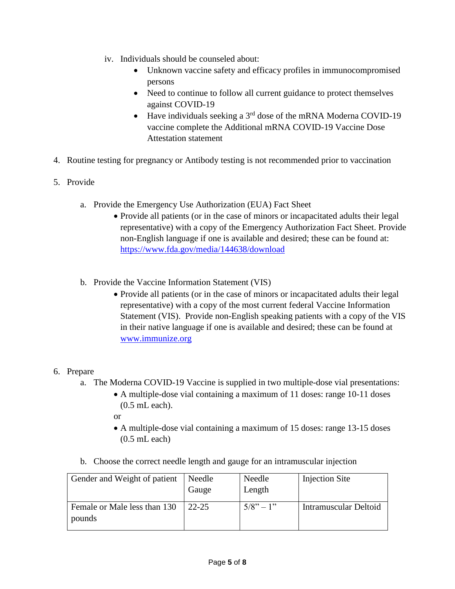- iv. Individuals should be counseled about:
	- Unknown vaccine safety and efficacy profiles in immunocompromised persons
	- Need to continue to follow all current guidance to protect themselves against COVID-19
	- $\bullet$  Have individuals seeking a 3<sup>rd</sup> dose of the mRNA Moderna COVID-19 vaccine complete the Additional mRNA COVID-19 Vaccine Dose Attestation statement
- 4. Routine testing for pregnancy or Antibody testing is not recommended prior to vaccination
- 5. Provide
	- a. Provide the Emergency Use Authorization (EUA) Fact Sheet
		- Provide all patients (or in the case of minors or incapacitated adults their legal representative) with a copy of the Emergency Authorization Fact Sheet. Provide non-English language if one is available and desired; these can be found at: <https://www.fda.gov/media/144638/download>
	- b. Provide the Vaccine Information Statement (VIS)
		- Provide all patients (or in the case of minors or incapacitated adults their legal representative) with a copy of the most current federal Vaccine Information Statement (VIS). Provide non-English speaking patients with a copy of the VIS in their native language if one is available and desired; these can be found at [www.immunize.org](http://www.immunize.org/)

#### 6. Prepare

- a. The Moderna COVID-19 Vaccine is supplied in two multiple-dose vial presentations:
	- A multiple-dose vial containing a maximum of 11 doses: range 10-11 doses (0.5 mL each).
	- or
	- A multiple-dose vial containing a maximum of 15 doses: range 13-15 doses (0.5 mL each)
- b. Choose the correct needle length and gauge for an intramuscular injection

| Gender and Weight of patient           | Needle<br>Gauge | Needle<br>Length | <b>Injection Site</b> |
|----------------------------------------|-----------------|------------------|-----------------------|
| Female or Male less than 130<br>pounds | $22 - 25$       | $5/8" - 1"$      | Intramuscular Deltoid |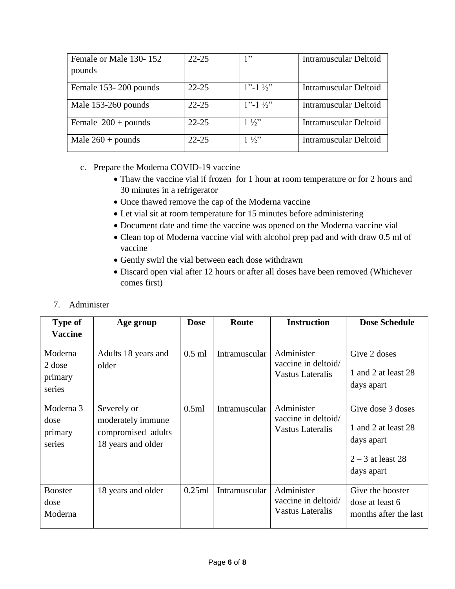| Female or Male 130-152 | $22 - 25$ | 1"                     | <b>Intramuscular Deltoid</b> |
|------------------------|-----------|------------------------|------------------------------|
| pounds                 |           |                        |                              |
| Female 153-200 pounds  | $22 - 25$ | $1"$ -1 $\frac{1}{2}"$ | <b>Intramuscular Deltoid</b> |
| Male 153-260 pounds    | $22 - 25$ | $1"$ -1 $\frac{1}{2}"$ | <b>Intramuscular Deltoid</b> |
| Female $200 +$ pounds  | $22 - 25$ | $1\frac{1}{2}$         | <b>Intramuscular Deltoid</b> |
| Male $260 +$ pounds    | $22 - 25$ | $1\frac{1}{2}$         | <b>Intramuscular Deltoid</b> |

## c. Prepare the Moderna COVID-19 vaccine

- Thaw the vaccine vial if frozen for 1 hour at room temperature or for 2 hours and 30 minutes in a refrigerator
- Once thawed remove the cap of the Moderna vaccine
- Let vial sit at room temperature for 15 minutes before administering
- Document date and time the vaccine was opened on the Moderna vaccine vial
- Clean top of Moderna vaccine vial with alcohol prep pad and with draw 0.5 ml of vaccine
- Gently swirl the vial between each dose withdrawn
- Discard open vial after 12 hours or after all doses have been removed (Whichever comes first)

### 7. Administer

| <b>Type of</b>                         | Age group                                                                    | <b>Dose</b> | Route         | <b>Instruction</b>                                           | <b>Dose Schedule</b>                                                                        |
|----------------------------------------|------------------------------------------------------------------------------|-------------|---------------|--------------------------------------------------------------|---------------------------------------------------------------------------------------------|
| <b>Vaccine</b>                         |                                                                              |             |               |                                                              |                                                                                             |
| Moderna<br>2 dose<br>primary<br>series | Adults 18 years and<br>older                                                 | $0.5$ ml    | Intramuscular | Administer<br>vaccine in deltoid/<br><b>Vastus Lateralis</b> | Give 2 doses<br>1 and 2 at least 28<br>days apart                                           |
| Moderna 3<br>dose<br>primary<br>series | Severely or<br>moderately immune<br>compromised adults<br>18 years and older | 0.5ml       | Intramuscular | Administer<br>vaccine in deltoid/<br><b>Vastus Lateralis</b> | Give dose 3 doses<br>1 and 2 at least 28<br>days apart<br>$2 - 3$ at least 28<br>days apart |
| <b>Booster</b><br>dose<br>Moderna      | 18 years and older                                                           | 0.25ml      | Intramuscular | Administer<br>vaccine in deltoid/<br><b>Vastus Lateralis</b> | Give the booster<br>dose at least 6<br>months after the last                                |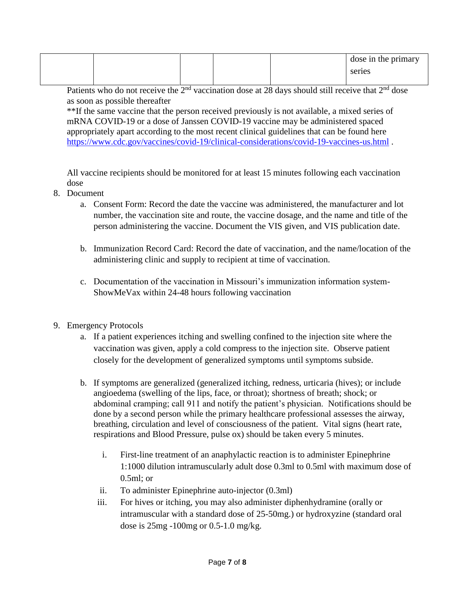|  |  | $\vert$ dose in the primary |
|--|--|-----------------------------|
|  |  | series                      |
|  |  |                             |

Patients who do not receive the  $2<sup>nd</sup>$  vaccination dose at 28 days should still receive that  $2<sup>nd</sup>$  dose as soon as possible thereafter

\*\*If the same vaccine that the person received previously is not available, a mixed series of mRNA COVID-19 or a dose of Janssen COVID-19 vaccine may be administered spaced appropriately apart according to the most recent clinical guidelines that can be found here <https://www.cdc.gov/vaccines/covid-19/clinical-considerations/covid-19-vaccines-us.html> .

All vaccine recipients should be monitored for at least 15 minutes following each vaccination dose

- 8. Document
	- a. Consent Form: Record the date the vaccine was administered, the manufacturer and lot number, the vaccination site and route, the vaccine dosage, and the name and title of the person administering the vaccine. Document the VIS given, and VIS publication date.
	- b. Immunization Record Card: Record the date of vaccination, and the name/location of the administering clinic and supply to recipient at time of vaccination.
	- c. Documentation of the vaccination in Missouri's immunization information system-ShowMeVax within 24-48 hours following vaccination
- 9. Emergency Protocols
	- a. If a patient experiences itching and swelling confined to the injection site where the vaccination was given, apply a cold compress to the injection site. Observe patient closely for the development of generalized symptoms until symptoms subside.
	- b. If symptoms are generalized (generalized itching, redness, urticaria (hives); or include angioedema (swelling of the lips, face, or throat); shortness of breath; shock; or abdominal cramping; call 911 and notify the patient's physician. Notifications should be done by a second person while the primary healthcare professional assesses the airway, breathing, circulation and level of consciousness of the patient. Vital signs (heart rate, respirations and Blood Pressure, pulse ox) should be taken every 5 minutes.
		- i. First-line treatment of an anaphylactic reaction is to administer Epinephrine 1:1000 dilution intramuscularly adult dose 0.3ml to 0.5ml with maximum dose of 0.5ml; or
		- ii. To administer Epinephrine auto-injector (0.3ml)
		- iii. For hives or itching, you may also administer diphenhydramine (orally or intramuscular with a standard dose of 25-50mg.) or hydroxyzine (standard oral dose is 25mg -100mg or 0.5-1.0 mg/kg.